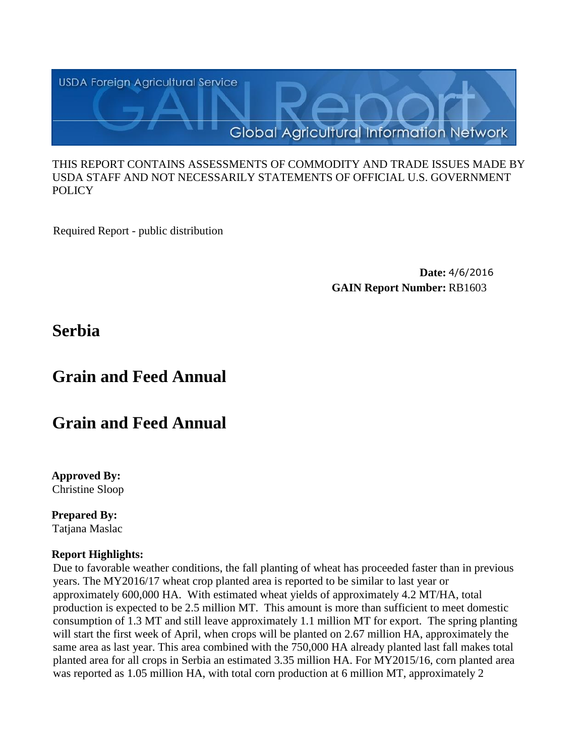

#### THIS REPORT CONTAINS ASSESSMENTS OF COMMODITY AND TRADE ISSUES MADE BY USDA STAFF AND NOT NECESSARILY STATEMENTS OF OFFICIAL U.S. GOVERNMENT **POLICY**

Required Report - public distribution

**Date:** 4/6/2016 **GAIN Report Number:** RB1603

## **Serbia**

# **Grain and Feed Annual**

# **Grain and Feed Annual**

**Approved By:**  Christine Sloop

**Prepared By:**  Tatjana Maslac

## **Report Highlights:**

Due to favorable weather conditions, the fall planting of wheat has proceeded faster than in previous years. The MY2016/17 wheat crop planted area is reported to be similar to last year or approximately 600,000 HA. With estimated wheat yields of approximately 4.2 MT/HA, total production is expected to be 2.5 million MT. This amount is more than sufficient to meet domestic consumption of 1.3 MT and still leave approximately 1.1 million MT for export. The spring planting will start the first week of April, when crops will be planted on 2.67 million HA, approximately the same area as last year. This area combined with the 750,000 HA already planted last fall makes total planted area for all crops in Serbia an estimated 3.35 million HA. For MY2015/16, corn planted area was reported as 1.05 million HA, with total corn production at 6 million MT, approximately 2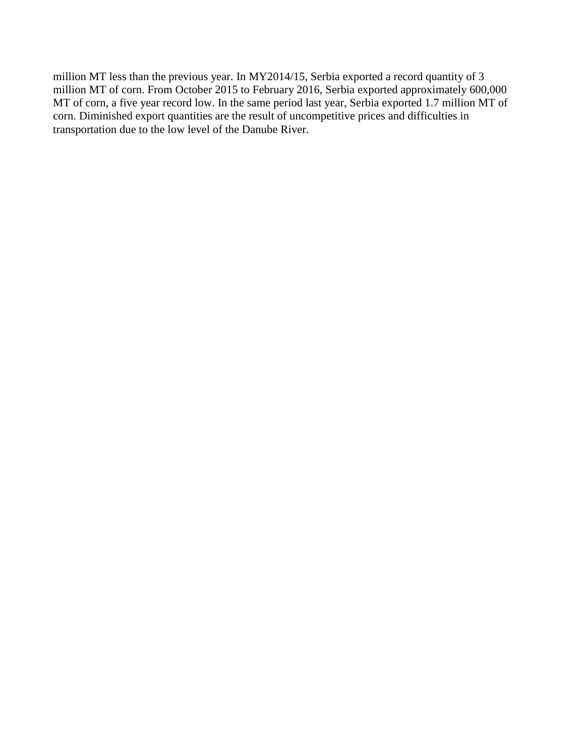million MT less than the previous year. In MY2014/15, Serbia exported a record quantity of 3 million MT of corn. From October 2015 to February 2016, Serbia exported approximately 600,000 MT of corn, a five year record low. In the same period last year, Serbia exported 1.7 million MT of corn. Diminished export quantities are the result of uncompetitive prices and difficulties in transportation due to the low level of the Danube River.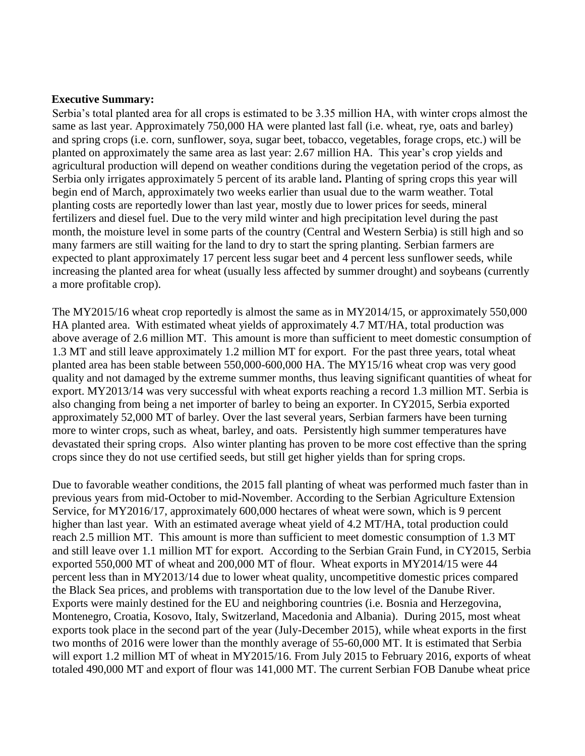#### **Executive Summary:**

Serbia's total planted area for all crops is estimated to be 3.35 million HA, with winter crops almost the same as last year. Approximately 750,000 HA were planted last fall (i.e. wheat, rye, oats and barley) and spring crops (i.e. corn, sunflower, soya, sugar beet, tobacco, vegetables, forage crops, etc.) will be planted on approximately the same area as last year: 2.67 million HA. This year's crop yields and agricultural production will depend on weather conditions during the vegetation period of the crops, as Serbia only irrigates approximately 5 percent of its arable land**.** Planting of spring crops this year will begin end of March, approximately two weeks earlier than usual due to the warm weather. Total planting costs are reportedly lower than last year, mostly due to lower prices for seeds, mineral fertilizers and diesel fuel. Due to the very mild winter and high precipitation level during the past month, the moisture level in some parts of the country (Central and Western Serbia) is still high and so many farmers are still waiting for the land to dry to start the spring planting. Serbian farmers are expected to plant approximately 17 percent less sugar beet and 4 percent less sunflower seeds, while increasing the planted area for wheat (usually less affected by summer drought) and soybeans (currently a more profitable crop).

The MY2015/16 wheat crop reportedly is almost the same as in MY2014/15, or approximately 550,000 HA planted area. With estimated wheat yields of approximately 4.7 MT/HA, total production was above average of 2.6 million MT. This amount is more than sufficient to meet domestic consumption of 1.3 MT and still leave approximately 1.2 million MT for export. For the past three years, total wheat planted area has been stable between 550,000-600,000 HA. The MY15/16 wheat crop was very good quality and not damaged by the extreme summer months, thus leaving significant quantities of wheat for export. MY2013/14 was very successful with wheat exports reaching a record 1.3 million MT. Serbia is also changing from being a net importer of barley to being an exporter. In CY2015, Serbia exported approximately 52,000 MT of barley. Over the last several years, Serbian farmers have been turning more to winter crops, such as wheat, barley, and oats. Persistently high summer temperatures have devastated their spring crops. Also winter planting has proven to be more cost effective than the spring crops since they do not use certified seeds, but still get higher yields than for spring crops.

Due to favorable weather conditions, the 2015 fall planting of wheat was performed much faster than in previous years from mid-October to mid-November. According to the Serbian Agriculture Extension Service, for MY2016/17, approximately 600,000 hectares of wheat were sown, which is 9 percent higher than last year. With an estimated average wheat yield of 4.2 MT/HA, total production could reach 2.5 million MT. This amount is more than sufficient to meet domestic consumption of 1.3 MT and still leave over 1.1 million MT for export. According to the Serbian Grain Fund, in CY2015, Serbia exported 550,000 MT of wheat and 200,000 MT of flour. Wheat exports in MY2014/15 were 44 percent less than in MY2013/14 due to lower wheat quality, uncompetitive domestic prices compared the Black Sea prices, and problems with transportation due to the low level of the Danube River. Exports were mainly destined for the EU and neighboring countries (i.e. Bosnia and Herzegovina, Montenegro, Croatia, Kosovo, Italy, Switzerland, Macedonia and Albania). During 2015, most wheat exports took place in the second part of the year (July-December 2015), while wheat exports in the first two months of 2016 were lower than the monthly average of 55-60,000 MT. It is estimated that Serbia will export 1.2 million MT of wheat in MY2015/16. From July 2015 to February 2016, exports of wheat totaled 490,000 MT and export of flour was 141,000 MT. The current Serbian FOB Danube wheat price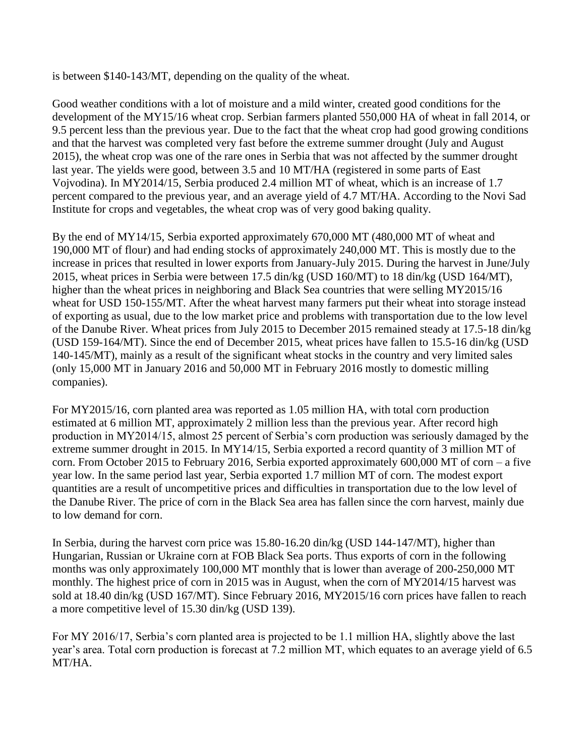is between \$140-143/MT, depending on the quality of the wheat.

Good weather conditions with a lot of moisture and a mild winter, created good conditions for the development of the MY15/16 wheat crop. Serbian farmers planted 550,000 HA of wheat in fall 2014, or 9.5 percent less than the previous year. Due to the fact that the wheat crop had good growing conditions and that the harvest was completed very fast before the extreme summer drought (July and August 2015), the wheat crop was one of the rare ones in Serbia that was not affected by the summer drought last year. The yields were good, between 3.5 and 10 MT/HA (registered in some parts of East Vojvodina). In MY2014/15, Serbia produced 2.4 million MT of wheat, which is an increase of 1.7 percent compared to the previous year, and an average yield of 4.7 MT/HA. According to the Novi Sad Institute for crops and vegetables, the wheat crop was of very good baking quality.

By the end of MY14/15, Serbia exported approximately 670,000 MT (480,000 MT of wheat and 190,000 MT of flour) and had ending stocks of approximately 240,000 MT. This is mostly due to the increase in prices that resulted in lower exports from January-July 2015. During the harvest in June/July 2015, wheat prices in Serbia were between 17.5 din/kg (USD 160/MT) to 18 din/kg (USD 164/MT), higher than the wheat prices in neighboring and Black Sea countries that were selling MY2015/16 wheat for USD 150-155/MT. After the wheat harvest many farmers put their wheat into storage instead of exporting as usual, due to the low market price and problems with transportation due to the low level of the Danube River. Wheat prices from July 2015 to December 2015 remained steady at 17.5-18 din/kg (USD 159-164/MT). Since the end of December 2015, wheat prices have fallen to 15.5-16 din/kg (USD 140-145/MT), mainly as a result of the significant wheat stocks in the country and very limited sales (only 15,000 MT in January 2016 and 50,000 MT in February 2016 mostly to domestic milling companies).

For MY2015/16, corn planted area was reported as 1.05 million HA, with total corn production estimated at 6 million MT, approximately 2 million less than the previous year. After record high production in MY2014/15, almost 25 percent of Serbia's corn production was seriously damaged by the extreme summer drought in 2015. In MY14/15, Serbia exported a record quantity of 3 million MT of corn. From October 2015 to February 2016, Serbia exported approximately 600,000 MT of corn – a five year low. In the same period last year, Serbia exported 1.7 million MT of corn. The modest export quantities are a result of uncompetitive prices and difficulties in transportation due to the low level of the Danube River. The price of corn in the Black Sea area has fallen since the corn harvest, mainly due to low demand for corn.

In Serbia, during the harvest corn price was 15.80-16.20 din/kg (USD 144-147/MT), higher than Hungarian, Russian or Ukraine corn at FOB Black Sea ports. Thus exports of corn in the following months was only approximately 100,000 MT monthly that is lower than average of 200-250,000 MT monthly. The highest price of corn in 2015 was in August, when the corn of MY2014/15 harvest was sold at 18.40 din/kg (USD 167/MT). Since February 2016, MY2015/16 corn prices have fallen to reach a more competitive level of 15.30 din/kg (USD 139).

For MY 2016/17, Serbia's corn planted area is projected to be 1.1 million HA, slightly above the last year's area. Total corn production is forecast at 7.2 million MT, which equates to an average yield of 6.5 MT/HA.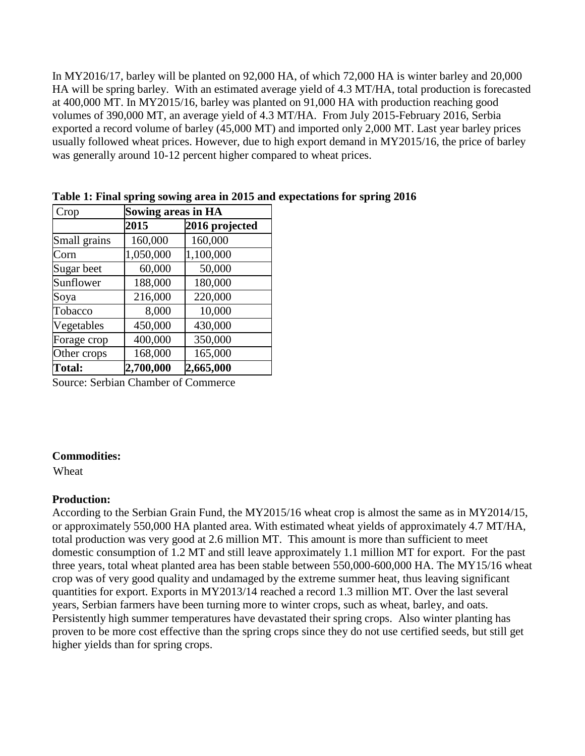In MY2016/17, barley will be planted on 92,000 HA, of which 72,000 HA is winter barley and 20,000 HA will be spring barley. With an estimated average yield of 4.3 MT/HA, total production is forecasted at 400,000 MT. In MY2015/16, barley was planted on 91,000 HA with production reaching good volumes of 390,000 MT, an average yield of 4.3 MT/HA. From July 2015-February 2016, Serbia exported a record volume of barley (45,000 MT) and imported only 2,000 MT. Last year barley prices usually followed wheat prices. However, due to high export demand in MY2015/16, the price of barley was generally around 10-12 percent higher compared to wheat prices.

| Crop          | <b>Sowing areas in HA</b> |                |  |  |  |
|---------------|---------------------------|----------------|--|--|--|
|               | 2015                      | 2016 projected |  |  |  |
| Small grains  | 160,000                   | 160,000        |  |  |  |
| Corn          | 1,050,000                 | 1,100,000      |  |  |  |
| Sugar beet    | 60,000                    | 50,000         |  |  |  |
| Sunflower     | 188,000                   | 180,000        |  |  |  |
| Soya          | 216,000                   | 220,000        |  |  |  |
| Tobacco       | 8,000                     | 10,000         |  |  |  |
| Vegetables    | 450,000                   | 430,000        |  |  |  |
| Forage crop   | 400,000                   | 350,000        |  |  |  |
| Other crops   | 168,000                   | 165,000        |  |  |  |
| <b>Total:</b> | 2,700,000                 | 2,665,000      |  |  |  |

**Table 1: Final spring sowing area in 2015 and expectations for spring 2016** 

Source: Serbian Chamber of Commerce

#### **Commodities:**

Wheat

## **Production:**

According to the Serbian Grain Fund, the MY2015/16 wheat crop is almost the same as in MY2014/15, or approximately 550,000 HA planted area. With estimated wheat yields of approximately 4.7 MT/HA, total production was very good at 2.6 million MT. This amount is more than sufficient to meet domestic consumption of 1.2 MT and still leave approximately 1.1 million MT for export. For the past three years, total wheat planted area has been stable between 550,000-600,000 HA. The MY15/16 wheat crop was of very good quality and undamaged by the extreme summer heat, thus leaving significant quantities for export. Exports in MY2013/14 reached a record 1.3 million MT. Over the last several years, Serbian farmers have been turning more to winter crops, such as wheat, barley, and oats. Persistently high summer temperatures have devastated their spring crops. Also winter planting has proven to be more cost effective than the spring crops since they do not use certified seeds, but still get higher yields than for spring crops.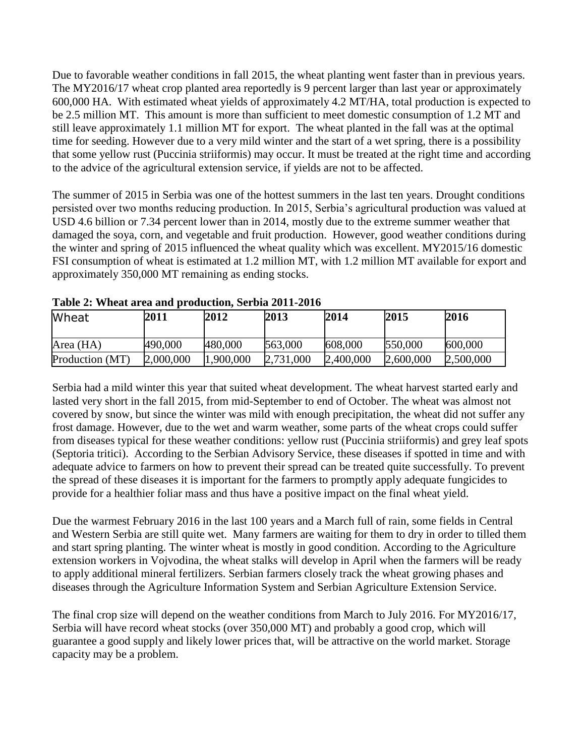Due to favorable weather conditions in fall 2015, the wheat planting went faster than in previous years. The MY2016/17 wheat crop planted area reportedly is 9 percent larger than last year or approximately 600,000 HA. With estimated wheat yields of approximately 4.2 MT/HA, total production is expected to be 2.5 million MT. This amount is more than sufficient to meet domestic consumption of 1.2 MT and still leave approximately 1.1 million MT for export. The wheat planted in the fall was at the optimal time for seeding. However due to a very mild winter and the start of a wet spring, there is a possibility that some yellow rust (Puccinia striiformis) may occur. It must be treated at the right time and according to the advice of the agricultural extension service, if yields are not to be affected.

The summer of 2015 in Serbia was one of the hottest summers in the last ten years. Drought conditions persisted over two months reducing production. In 2015, Serbia's agricultural production was valued at USD 4.6 billion or 7.34 percent lower than in 2014, mostly due to the extreme summer weather that damaged the soya, corn, and vegetable and fruit production. However, good weather conditions during the winter and spring of 2015 influenced the wheat quality which was excellent. MY2015/16 domestic FSI consumption of wheat is estimated at 1.2 million MT, with 1.2 million MT available for export and approximately 350,000 MT remaining as ending stocks.

| Wheat           | 2011      | 2012      | 2013      | 2014      | 2015      | 2016      |
|-----------------|-----------|-----------|-----------|-----------|-----------|-----------|
| Area (HA)       | 490,000   | 480,000   | 563,000   | 608,000   | 550,000   | 600,000   |
| Production (MT) | 2,000,000 | 1,900,000 | 2,731,000 | 2,400,000 | 2,600,000 | 2,500,000 |

**Table 2: Wheat area and production, Serbia 2011-2016**

Serbia had a mild winter this year that suited wheat development. The wheat harvest started early and lasted very short in the fall 2015, from mid-September to end of October. The wheat was almost not covered by snow, but since the winter was mild with enough precipitation, the wheat did not suffer any frost damage. However, due to the wet and warm weather, some parts of the wheat crops could suffer from diseases typical for these weather conditions: yellow rust (Puccinia striiformis) and grey leaf spots (Septoria tritici). According to the Serbian Advisory Service, these diseases if spotted in time and with adequate advice to farmers on how to prevent their spread can be treated quite successfully. To prevent the spread of these diseases it is important for the farmers to promptly apply adequate fungicides to provide for a healthier foliar mass and thus have a positive impact on the final wheat yield.

Due the warmest February 2016 in the last 100 years and a March full of rain, some fields in Central and Western Serbia are still quite wet. Many farmers are waiting for them to dry in order to tilled them and start spring planting. The winter wheat is mostly in good condition. According to the Agriculture extension workers in Vojvodina, the wheat stalks will develop in April when the farmers will be ready to apply additional mineral fertilizers. Serbian farmers closely track the wheat growing phases and diseases through the Agriculture Information System and Serbian Agriculture Extension Service.

The final crop size will depend on the weather conditions from March to July 2016. For MY2016/17, Serbia will have record wheat stocks (over 350,000 MT) and probably a good crop, which will guarantee a good supply and likely lower prices that, will be attractive on the world market. Storage capacity may be a problem.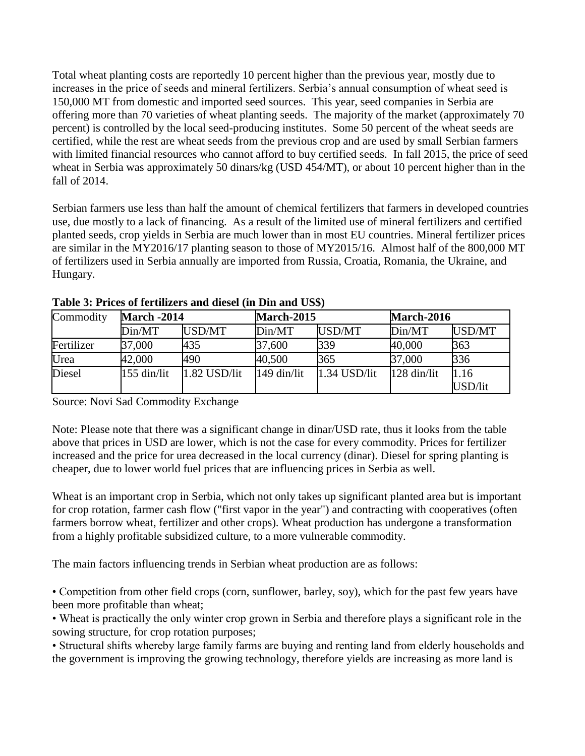Total wheat planting costs are reportedly 10 percent higher than the previous year, mostly due to increases in the price of seeds and mineral fertilizers. Serbia's annual consumption of wheat seed is 150,000 MT from domestic and imported seed sources. This year, seed companies in Serbia are offering more than 70 varieties of wheat planting seeds. The majority of the market (approximately 70 percent) is controlled by the local seed-producing institutes. Some 50 percent of the wheat seeds are certified, while the rest are wheat seeds from the previous crop and are used by small Serbian farmers with limited financial resources who cannot afford to buy certified seeds. In fall 2015, the price of seed wheat in Serbia was approximately 50 dinars/kg (USD 454/MT), or about 10 percent higher than in the fall of 2014.

Serbian farmers use less than half the amount of chemical fertilizers that farmers in developed countries use, due mostly to a lack of financing. As a result of the limited use of mineral fertilizers and certified planted seeds, crop yields in Serbia are much lower than in most EU countries. Mineral fertilizer prices are similar in the MY2016/17 planting season to those of MY2015/16. Almost half of the 800,000 MT of fertilizers used in Serbia annually are imported from Russia, Croatia, Romania, the Ukraine, and Hungary.

| Commodity  |               | <b>March -2014</b> |               | <b>March-2015</b> |             | <b>March-2016</b> |  |
|------------|---------------|--------------------|---------------|-------------------|-------------|-------------------|--|
|            | Din/MT        | USD/MT             | Din/MT        | USD/MT            | Din/MT      | USD/MT            |  |
| Fertilizer | 37,000        | 435                | 37,600        | 339               | 40,000      | 363               |  |
| Urea       | 42,000        | 490                | 40,500        | 365               | 37,000      | 336               |  |
| Diesel     | $155$ din/lit | 1.82 USD/lit       | $149$ din/lit | $1.34$ USD/lit    | 128 din/lit | 1.16              |  |
|            |               |                    |               |                   |             | USD/lit           |  |

**Table 3: Prices of fertilizers and diesel (in Din and US\$)**

Source: Novi Sad Commodity Exchange

Note: Please note that there was a significant change in dinar/USD rate, thus it looks from the table above that prices in USD are lower, which is not the case for every commodity. Prices for fertilizer increased and the price for urea decreased in the local currency (dinar). Diesel for spring planting is cheaper, due to lower world fuel prices that are influencing prices in Serbia as well.

Wheat is an important crop in Serbia, which not only takes up significant planted area but is important for crop rotation, farmer cash flow ("first vapor in the year") and contracting with cooperatives (often farmers borrow wheat, fertilizer and other crops). Wheat production has undergone a transformation from a highly profitable subsidized culture, to a more vulnerable commodity.

The main factors influencing trends in Serbian wheat production are as follows:

• Competition from other field crops (corn, sunflower, barley, soy), which for the past few years have been more profitable than wheat;

• Wheat is practically the only winter crop grown in Serbia and therefore plays a significant role in the sowing structure, for crop rotation purposes;

• Structural shifts whereby large family farms are buying and renting land from elderly households and the government is improving the growing technology, therefore yields are increasing as more land is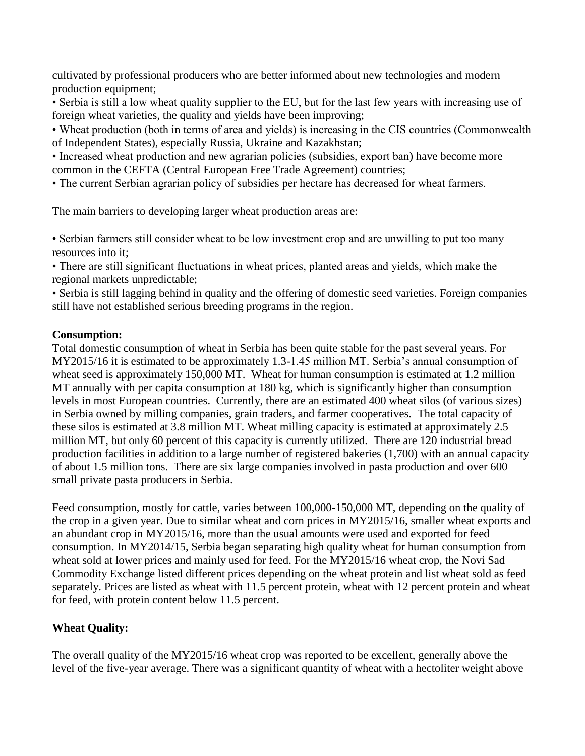cultivated by professional producers who are better informed about new technologies and modern production equipment;

• Serbia is still a low wheat quality supplier to the EU, but for the last few years with increasing use of foreign wheat varieties, the quality and yields have been improving;

• Wheat production (both in terms of area and yields) is increasing in the CIS countries (Commonwealth of Independent States), especially Russia, Ukraine and Kazakhstan;

• Increased wheat production and new agrarian policies (subsidies, export ban) have become more common in the CEFTA (Central European Free Trade Agreement) countries;

• The current Serbian agrarian policy of subsidies per hectare has decreased for wheat farmers.

The main barriers to developing larger wheat production areas are:

• Serbian farmers still consider wheat to be low investment crop and are unwilling to put too many resources into it;

• There are still significant fluctuations in wheat prices, planted areas and yields, which make the regional markets unpredictable;

• Serbia is still lagging behind in quality and the offering of domestic seed varieties. Foreign companies still have not established serious breeding programs in the region.

#### **Consumption:**

Total domestic consumption of wheat in Serbia has been quite stable for the past several years. For MY2015/16 it is estimated to be approximately 1.3-1.45 million MT. Serbia's annual consumption of wheat seed is approximately 150,000 MT. Wheat for human consumption is estimated at 1.2 million MT annually with per capita consumption at 180 kg, which is significantly higher than consumption levels in most European countries. Currently, there are an estimated 400 wheat silos (of various sizes) in Serbia owned by milling companies, grain traders, and farmer cooperatives. The total capacity of these silos is estimated at 3.8 million MT. Wheat milling capacity is estimated at approximately 2.5 million MT, but only 60 percent of this capacity is currently utilized. There are 120 industrial bread production facilities in addition to a large number of registered bakeries (1,700) with an annual capacity of about 1.5 million tons. There are six large companies involved in pasta production and over 600 small private pasta producers in Serbia.

Feed consumption, mostly for cattle, varies between 100,000-150,000 MT, depending on the quality of the crop in a given year. Due to similar wheat and corn prices in MY2015/16, smaller wheat exports and an abundant crop in MY2015/16, more than the usual amounts were used and exported for feed consumption. In MY2014/15, Serbia began separating high quality wheat for human consumption from wheat sold at lower prices and mainly used for feed. For the MY2015/16 wheat crop, the Novi Sad Commodity Exchange listed different prices depending on the wheat protein and list wheat sold as feed separately. Prices are listed as wheat with 11.5 percent protein, wheat with 12 percent protein and wheat for feed, with protein content below 11.5 percent.

## **Wheat Quality:**

The overall quality of the MY2015/16 wheat crop was reported to be excellent, generally above the level of the five-year average. There was a significant quantity of wheat with a hectoliter weight above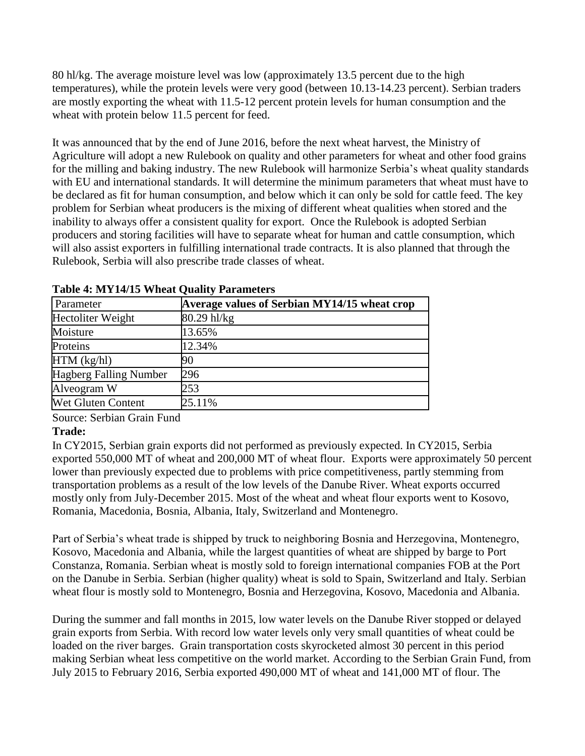80 hl/kg. The average moisture level was low (approximately 13.5 percent due to the high temperatures), while the protein levels were very good (between 10.13-14.23 percent). Serbian traders are mostly exporting the wheat with 11.5-12 percent protein levels for human consumption and the wheat with protein below 11.5 percent for feed.

It was announced that by the end of June 2016, before the next wheat harvest, the Ministry of Agriculture will adopt a new Rulebook on quality and other parameters for wheat and other food grains for the milling and baking industry. The new Rulebook will harmonize Serbia's wheat quality standards with EU and international standards. It will determine the minimum parameters that wheat must have to be declared as fit for human consumption, and below which it can only be sold for cattle feed. The key problem for Serbian wheat producers is the mixing of different wheat qualities when stored and the inability to always offer a consistent quality for export. Once the Rulebook is adopted Serbian producers and storing facilities will have to separate wheat for human and cattle consumption, which will also assist exporters in fulfilling international trade contracts. It is also planned that through the Rulebook, Serbia will also prescribe trade classes of wheat.

| Parameter                     | Average values of Serbian MY14/15 wheat crop |
|-------------------------------|----------------------------------------------|
| Hectoliter Weight             | 80.29 hl/kg                                  |
| Moisture                      | 13.65%                                       |
| Proteins                      | 12.34%                                       |
| $HTM$ (kg/hl)                 | 90                                           |
| <b>Hagberg Falling Number</b> | 296                                          |
| Alveogram W                   | 253                                          |
| Wet Gluten Content            | 25.11%                                       |

**Table 4: MY14/15 Wheat Quality Parameters**

Source: Serbian Grain Fund

## **Trade:**

In CY2015, Serbian grain exports did not performed as previously expected. In CY2015, Serbia exported 550,000 MT of wheat and 200,000 MT of wheat flour. Exports were approximately 50 percent lower than previously expected due to problems with price competitiveness, partly stemming from transportation problems as a result of the low levels of the Danube River. Wheat exports occurred mostly only from July-December 2015. Most of the wheat and wheat flour exports went to Kosovo, Romania, Macedonia, Bosnia, Albania, Italy, Switzerland and Montenegro.

Part of Serbia's wheat trade is shipped by truck to neighboring Bosnia and Herzegovina, Montenegro, Kosovo, Macedonia and Albania, while the largest quantities of wheat are shipped by barge to Port Constanza, Romania. Serbian wheat is mostly sold to foreign international companies FOB at the Port on the Danube in Serbia. Serbian (higher quality) wheat is sold to Spain, Switzerland and Italy. Serbian wheat flour is mostly sold to Montenegro, Bosnia and Herzegovina, Kosovo, Macedonia and Albania.

During the summer and fall months in 2015, low water levels on the Danube River stopped or delayed grain exports from Serbia. With record low water levels only very small quantities of wheat could be loaded on the river barges. Grain transportation costs skyrocketed almost 30 percent in this period making Serbian wheat less competitive on the world market. According to the Serbian Grain Fund, from July 2015 to February 2016, Serbia exported 490,000 MT of wheat and 141,000 MT of flour. The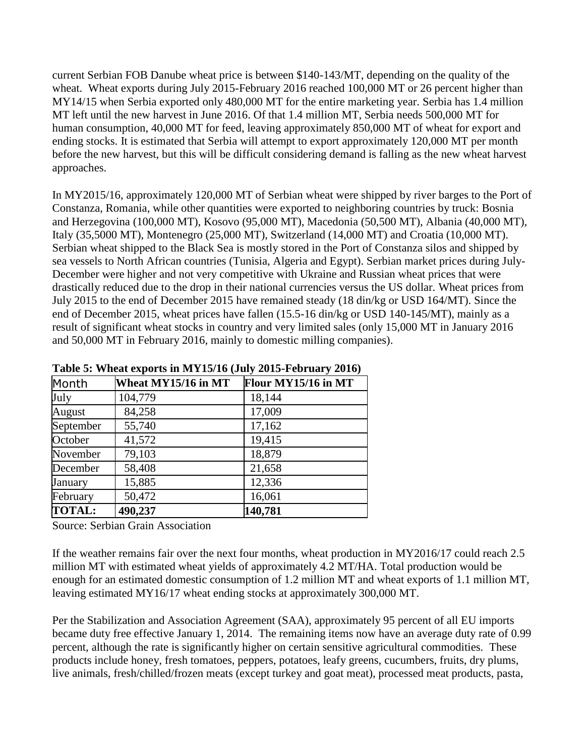current Serbian FOB Danube wheat price is between \$140-143/MT, depending on the quality of the wheat. Wheat exports during July 2015-February 2016 reached 100,000 MT or 26 percent higher than MY14/15 when Serbia exported only 480,000 MT for the entire marketing year. Serbia has 1.4 million MT left until the new harvest in June 2016. Of that 1.4 million MT, Serbia needs 500,000 MT for human consumption, 40,000 MT for feed, leaving approximately 850,000 MT of wheat for export and ending stocks. It is estimated that Serbia will attempt to export approximately 120,000 MT per month before the new harvest, but this will be difficult considering demand is falling as the new wheat harvest approaches.

In MY2015/16, approximately 120,000 MT of Serbian wheat were shipped by river barges to the Port of Constanza, Romania, while other quantities were exported to neighboring countries by truck: Bosnia and Herzegovina (100,000 MT), Kosovo (95,000 MT), Macedonia (50,500 MT), Albania (40,000 MT), Italy (35,5000 MT), Montenegro (25,000 MT), Switzerland (14,000 MT) and Croatia (10,000 MT). Serbian wheat shipped to the Black Sea is mostly stored in the Port of Constanza silos and shipped by sea vessels to North African countries (Tunisia, Algeria and Egypt). Serbian market prices during July-December were higher and not very competitive with Ukraine and Russian wheat prices that were drastically reduced due to the drop in their national currencies versus the US dollar. Wheat prices from July 2015 to the end of December 2015 have remained steady (18 din/kg or USD 164/MT). Since the end of December 2015, wheat prices have fallen (15.5-16 din/kg or USD 140-145/MT), mainly as a result of significant wheat stocks in country and very limited sales (only 15,000 MT in January 2016 and 50,000 MT in February 2016, mainly to domestic milling companies).

| Month         | Wheat MY15/16 in MT | Flour MY15/16 in MT |
|---------------|---------------------|---------------------|
| July          | 104,779             | 18,144              |
| August        | 84,258              | 17,009              |
| September     | 55,740              | 17,162              |
| October       | 41,572              | 19,415              |
| November      | 79,103              | 18,879              |
| December      | 58,408              | 21,658              |
| January       | 15,885              | 12,336              |
| February      | 50,472              | 16,061              |
| <b>TOTAL:</b> | 490,237             | 140,781             |

**Table 5: Wheat exports in MY15/16 (July 2015-February 2016)**

Source: Serbian Grain Association

If the weather remains fair over the next four months, wheat production in MY2016/17 could reach 2.5 million MT with estimated wheat yields of approximately 4.2 MT/HA. Total production would be enough for an estimated domestic consumption of 1.2 million MT and wheat exports of 1.1 million MT, leaving estimated MY16/17 wheat ending stocks at approximately 300,000 MT.

Per the Stabilization and Association Agreement (SAA), approximately 95 percent of all EU imports became duty free effective January 1, 2014. The remaining items now have an average duty rate of 0.99 percent, although the rate is significantly higher on certain sensitive agricultural commodities. These products include honey, fresh tomatoes, peppers, potatoes, leafy greens, cucumbers, fruits, dry plums, live animals, fresh/chilled/frozen meats (except turkey and goat meat), processed meat products, pasta,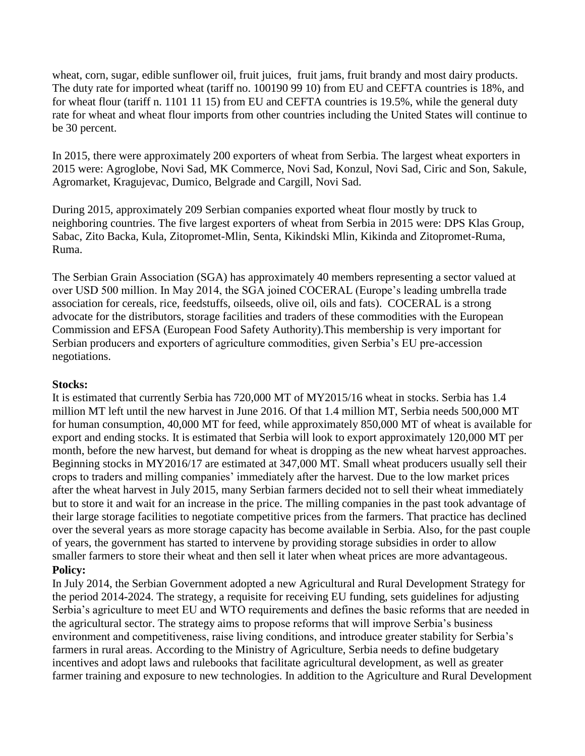wheat, corn, sugar, edible sunflower oil, fruit juices, fruit jams, fruit brandy and most dairy products. The duty rate for imported wheat (tariff no. 100190 99 10) from EU and CEFTA countries is 18%, and for wheat flour (tariff n. 1101 11 15) from EU and CEFTA countries is 19.5%, while the general duty rate for wheat and wheat flour imports from other countries including the United States will continue to be 30 percent.

In 2015, there were approximately 200 exporters of wheat from Serbia. The largest wheat exporters in 2015 were: Agroglobe, Novi Sad, MK Commerce, Novi Sad, Konzul, Novi Sad, Ciric and Son, Sakule, Agromarket, Kragujevac, Dumico, Belgrade and Cargill, Novi Sad.

During 2015, approximately 209 Serbian companies exported wheat flour mostly by truck to neighboring countries. The five largest exporters of wheat from Serbia in 2015 were: DPS Klas Group, Sabac, Zito Backa, Kula, Zitopromet-Mlin, Senta, Kikindski Mlin, Kikinda and Zitopromet-Ruma, Ruma.

The Serbian Grain Association (SGA) has approximately 40 members representing a sector valued at over USD 500 million. In May 2014, the SGA joined COCERAL (Europe's leading umbrella trade association for cereals, rice, feedstuffs, oilseeds, olive oil, oils and fats). COCERAL is a strong advocate for the distributors, storage facilities and traders of these commodities with the European Commission and EFSA (European Food Safety Authority).This membership is very important for Serbian producers and exporters of agriculture commodities, given Serbia's EU pre-accession negotiations.

#### **Stocks:**

It is estimated that currently Serbia has 720,000 MT of MY2015/16 wheat in stocks. Serbia has 1.4 million MT left until the new harvest in June 2016. Of that 1.4 million MT, Serbia needs 500,000 MT for human consumption, 40,000 MT for feed, while approximately 850,000 MT of wheat is available for export and ending stocks. It is estimated that Serbia will look to export approximately 120,000 MT per month, before the new harvest, but demand for wheat is dropping as the new wheat harvest approaches. Beginning stocks in MY2016/17 are estimated at 347,000 MT. Small wheat producers usually sell their crops to traders and milling companies' immediately after the harvest. Due to the low market prices after the wheat harvest in July 2015, many Serbian farmers decided not to sell their wheat immediately but to store it and wait for an increase in the price. The milling companies in the past took advantage of their large storage facilities to negotiate competitive prices from the farmers. That practice has declined over the several years as more storage capacity has become available in Serbia. Also, for the past couple of years, the government has started to intervene by providing storage subsidies in order to allow smaller farmers to store their wheat and then sell it later when wheat prices are more advantageous. **Policy:**

In July 2014, the Serbian Government adopted a new Agricultural and Rural Development Strategy for the period 2014-2024. The strategy, a requisite for receiving EU funding, sets guidelines for adjusting Serbia's agriculture to meet EU and WTO requirements and defines the basic reforms that are needed in the agricultural sector. The strategy aims to propose reforms that will improve Serbia's business environment and competitiveness, raise living conditions, and introduce greater stability for Serbia's farmers in rural areas. According to the Ministry of Agriculture, Serbia needs to define budgetary incentives and adopt laws and rulebooks that facilitate agricultural development, as well as greater farmer training and exposure to new technologies. In addition to the Agriculture and Rural Development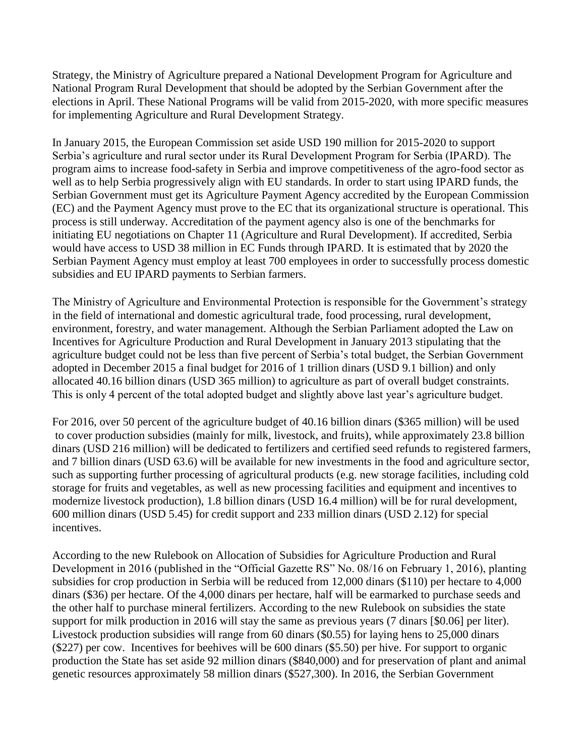Strategy, the Ministry of Agriculture prepared a National Development Program for Agriculture and National Program Rural Development that should be adopted by the Serbian Government after the elections in April. These National Programs will be valid from 2015-2020, with more specific measures for implementing Agriculture and Rural Development Strategy.

In January 2015, the European Commission set aside USD 190 million for 2015-2020 to support Serbia's agriculture and rural sector under its Rural Development Program for Serbia (IPARD). The program aims to increase food-safety in Serbia and improve competitiveness of the agro-food sector as well as to help Serbia progressively align with EU standards. In order to start using IPARD funds, the Serbian Government must get its Agriculture Payment Agency accredited by the European Commission (EC) and the Payment Agency must prove to the EC that its organizational structure is operational. This process is still underway. Accreditation of the payment agency also is one of the benchmarks for initiating EU negotiations on Chapter 11 (Agriculture and Rural Development). If accredited, Serbia would have access to USD 38 million in EC Funds through IPARD. It is estimated that by 2020 the Serbian Payment Agency must employ at least 700 employees in order to successfully process domestic subsidies and EU IPARD payments to Serbian farmers.

The Ministry of Agriculture and Environmental Protection is responsible for the Government's strategy in the field of international and domestic agricultural trade, food processing, rural development, environment, forestry, and water management. Although the Serbian Parliament adopted the Law on Incentives for Agriculture Production and Rural Development in January 2013 stipulating that the agriculture budget could not be less than five percent of Serbia's total budget, the Serbian Government adopted in December 2015 a final budget for 2016 of 1 trillion dinars (USD 9.1 billion) and only allocated 40.16 billion dinars (USD 365 million) to agriculture as part of overall budget constraints. This is only 4 percent of the total adopted budget and slightly above last year's agriculture budget.

For 2016, over 50 percent of the agriculture budget of 40.16 billion dinars (\$365 million) will be used to cover production subsidies (mainly for milk, livestock, and fruits), while approximately 23.8 billion dinars (USD 216 million) will be dedicated to fertilizers and certified seed refunds to registered farmers, and 7 billion dinars (USD 63.6) will be available for new investments in the food and agriculture sector, such as supporting further processing of agricultural products (e.g. new storage facilities, including cold storage for fruits and vegetables, as well as new processing facilities and equipment and incentives to modernize livestock production), 1.8 billion dinars (USD 16.4 million) will be for rural development, 600 million dinars (USD 5.45) for credit support and 233 million dinars (USD 2.12) for special incentives.

According to the new Rulebook on Allocation of Subsidies for Agriculture Production and Rural Development in 2016 (published in the "Official Gazette RS" No. 08/16 on February 1, 2016), planting subsidies for crop production in Serbia will be reduced from 12,000 dinars (\$110) per hectare to 4,000 dinars (\$36) per hectare. Of the 4,000 dinars per hectare, half will be earmarked to purchase seeds and the other half to purchase mineral fertilizers. According to the new Rulebook on subsidies the state support for milk production in 2016 will stay the same as previous years (7 dinars [\$0.06] per liter). Livestock production subsidies will range from 60 dinars (\$0.55) for laying hens to 25,000 dinars (\$227) per cow. Incentives for beehives will be 600 dinars (\$5.50) per hive. For support to organic production the State has set aside 92 million dinars (\$840,000) and for preservation of plant and animal genetic resources approximately 58 million dinars (\$527,300). In 2016, the Serbian Government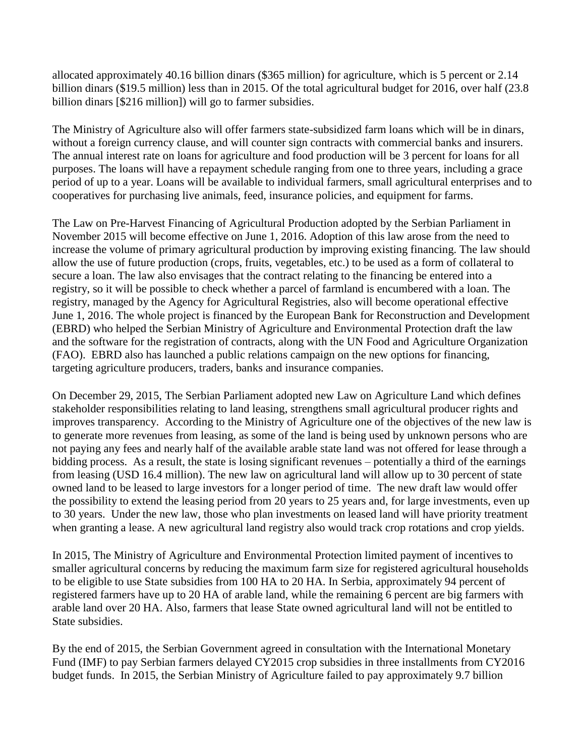allocated approximately 40.16 billion dinars (\$365 million) for agriculture, which is 5 percent or 2.14 billion dinars (\$19.5 million) less than in 2015. Of the total agricultural budget for 2016, over half (23.8 billion dinars [\$216 million]) will go to farmer subsidies.

The Ministry of Agriculture also will offer farmers state-subsidized farm loans which will be in dinars, without a foreign currency clause, and will counter sign contracts with commercial banks and insurers. The annual interest rate on loans for agriculture and food production will be 3 percent for loans for all purposes. The loans will have a repayment schedule ranging from one to three years, including a grace period of up to a year. Loans will be available to individual farmers, small agricultural enterprises and to cooperatives for purchasing live animals, feed, insurance policies, and equipment for farms.

The Law on Pre-Harvest Financing of Agricultural Production adopted by the Serbian Parliament in November 2015 will become effective on June 1, 2016. Adoption of this law arose from the need to increase the volume of primary agricultural production by improving existing financing. The law should allow the use of future production (crops, fruits, vegetables, etc.) to be used as a form of collateral to secure a loan. The law also envisages that the contract relating to the financing be entered into a registry, so it will be possible to check whether a parcel of farmland is encumbered with a loan. The registry, managed by the Agency for Agricultural Registries, also will become operational effective June 1, 2016. The whole project is financed by the European Bank for Reconstruction and Development (EBRD) who helped the Serbian Ministry of Agriculture and Environmental Protection draft the law and the software for the registration of contracts, along with the UN Food and Agriculture Organization (FAO). EBRD also has launched a public relations campaign on the new options for financing, targeting agriculture producers, traders, banks and insurance companies.

On December 29, 2015, The Serbian Parliament adopted new Law on Agriculture Land which defines stakeholder responsibilities relating to land leasing, strengthens small agricultural producer rights and improves transparency. According to the Ministry of Agriculture one of the objectives of the new law is to generate more revenues from leasing, as some of the land is being used by unknown persons who are not paying any fees and nearly half of the available arable state land was not offered for lease through a bidding process. As a result, the state is losing significant revenues – potentially a third of the earnings from leasing (USD 16.4 million). The new law on agricultural land will allow up to 30 percent of state owned land to be leased to large investors for a longer period of time. The new draft law would offer the possibility to extend the leasing period from 20 years to 25 years and, for large investments, even up to 30 years. Under the new law, those who plan investments on leased land will have priority treatment when granting a lease. A new agricultural land registry also would track crop rotations and crop yields.

In 2015, The Ministry of Agriculture and Environmental Protection limited payment of incentives to smaller agricultural concerns by reducing the maximum farm size for registered agricultural households to be eligible to use State subsidies from 100 HA to 20 HA. In Serbia, approximately 94 percent of registered farmers have up to 20 HA of arable land, while the remaining 6 percent are big farmers with arable land over 20 HA. Also, farmers that lease State owned agricultural land will not be entitled to State subsidies.

By the end of 2015, the Serbian Government agreed in consultation with the International Monetary Fund (IMF) to pay Serbian farmers delayed CY2015 crop subsidies in three installments from CY2016 budget funds. In 2015, the Serbian Ministry of Agriculture failed to pay approximately 9.7 billion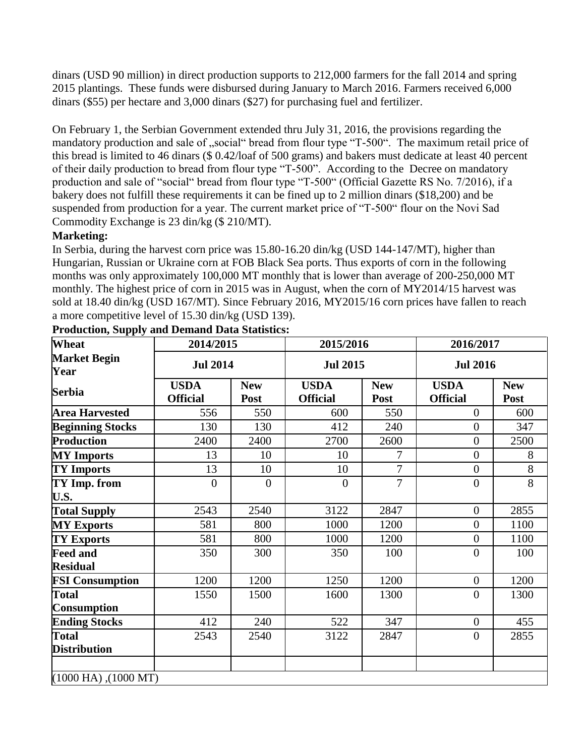dinars (USD 90 million) in direct production supports to 212,000 farmers for the fall 2014 and spring 2015 plantings. These funds were disbursed during January to March 2016. Farmers received 6,000 dinars (\$55) per hectare and 3,000 dinars (\$27) for purchasing fuel and fertilizer.

On February 1, the Serbian Government extended thru July 31, 2016, the provisions regarding the mandatory production and sale of ..social "bread from flour type "T-500". The maximum retail price of this bread is limited to 46 dinars (\$ 0.42/loaf of 500 grams) and bakers must dedicate at least 40 percent of their daily production to bread from flour type "T-500". According to the Decree on mandatory production and sale of "social" bread from flour type "T-500" (Official Gazette RS No. 7/2016), if a bakery does not fulfill these requirements it can be fined up to 2 million dinars (\$18,200) and be suspended from production for a year. The current market price of "T-500" flour on the Novi Sad Commodity Exchange is 23 din/kg (\$ 210/MT).

## **Marketing:**

In Serbia, during the harvest corn price was 15.80-16.20 din/kg (USD 144-147/MT), higher than Hungarian, Russian or Ukraine corn at FOB Black Sea ports. Thus exports of corn in the following months was only approximately 100,000 MT monthly that is lower than average of 200-250,000 MT monthly. The highest price of corn in 2015 was in August, when the corn of MY2014/15 harvest was sold at 18.40 din/kg (USD 167/MT). Since February 2016, MY2015/16 corn prices have fallen to reach a more competitive level of 15.30 din/kg (USD 139).

| Wheat                               | 2014/2015                      |                    | 2015/2016                      |                    | 2016/2017                      |                    |  |  |  |
|-------------------------------------|--------------------------------|--------------------|--------------------------------|--------------------|--------------------------------|--------------------|--|--|--|
| <b>Market Begin</b><br>Year         | <b>Jul 2014</b>                |                    | <b>Jul 2015</b>                |                    | <b>Jul 2016</b>                |                    |  |  |  |
| <b>Serbia</b>                       | <b>USDA</b><br><b>Official</b> | <b>New</b><br>Post | <b>USDA</b><br><b>Official</b> | <b>New</b><br>Post | <b>USDA</b><br><b>Official</b> | <b>New</b><br>Post |  |  |  |
| <b>Area Harvested</b>               | 556                            | 550                | 600                            | 550                | $\overline{0}$                 | 600                |  |  |  |
| <b>Beginning Stocks</b>             | 130                            | 130                | 412                            | 240                | $\overline{0}$                 | 347                |  |  |  |
| <b>Production</b>                   | 2400                           | 2400               | 2700                           | 2600               | $\overline{0}$                 | 2500               |  |  |  |
| <b>MY</b> Imports                   | 13                             | 10                 | 10                             | $\overline{7}$     | $\overline{0}$                 | 8                  |  |  |  |
| <b>TY Imports</b>                   | 13                             | 10                 | 10                             | $\overline{7}$     | $\overline{0}$                 | 8                  |  |  |  |
| TY Imp. from<br>U.S.                | $\overline{0}$                 | $\Omega$           | $\theta$                       | $\overline{7}$     | $\overline{0}$                 | 8                  |  |  |  |
| <b>Total Supply</b>                 | 2543                           | 2540               | 3122                           | 2847               | $\boldsymbol{0}$               | 2855               |  |  |  |
| <b>MY Exports</b>                   | 581                            | 800                | 1000                           | 1200               | $\overline{0}$                 | 1100               |  |  |  |
| <b>TY Exports</b>                   | 581                            | 800                | 1000                           | 1200               | $\overline{0}$                 | 1100               |  |  |  |
| <b>Feed and</b><br><b>Residual</b>  | 350                            | 300                | 350                            | 100                | $\boldsymbol{0}$               | 100                |  |  |  |
| <b>FSI Consumption</b>              | 1200                           | 1200               | 1250                           | 1200               | $\overline{0}$                 | 1200               |  |  |  |
| <b>Total</b><br><b>Consumption</b>  | 1550                           | 1500               | 1600                           | 1300               | $\overline{0}$                 | 1300               |  |  |  |
| <b>Ending Stocks</b>                | 412                            | 240                | 522                            | 347                | $\overline{0}$                 | 455                |  |  |  |
| <b>Total</b><br><b>Distribution</b> | 2543                           | 2540               | 3122                           | 2847               | $\boldsymbol{0}$               | 2855               |  |  |  |
|                                     |                                |                    |                                |                    |                                |                    |  |  |  |
|                                     | $(1000$ HA), $(1000$ MT)       |                    |                                |                    |                                |                    |  |  |  |

**Production, Supply and Demand Data Statistics:**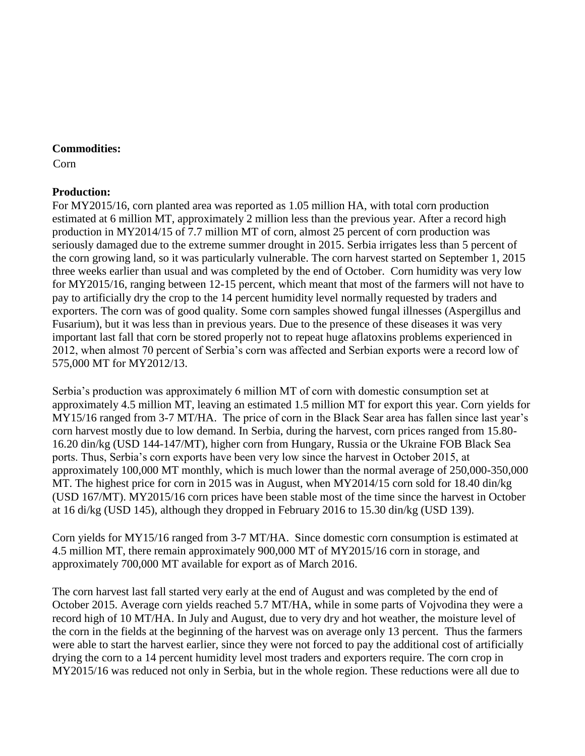#### **Commodities:**

Corn

## **Production:**

For MY2015/16, corn planted area was reported as 1.05 million HA, with total corn production estimated at 6 million MT, approximately 2 million less than the previous year. After a record high production in MY2014/15 of 7.7 million MT of corn, almost 25 percent of corn production was seriously damaged due to the extreme summer drought in 2015. Serbia irrigates less than 5 percent of the corn growing land, so it was particularly vulnerable. The corn harvest started on September 1, 2015 three weeks earlier than usual and was completed by the end of October. Corn humidity was very low for MY2015/16, ranging between 12-15 percent, which meant that most of the farmers will not have to pay to artificially dry the crop to the 14 percent humidity level normally requested by traders and exporters. The corn was of good quality. Some corn samples showed fungal illnesses (Aspergillus and Fusarium), but it was less than in previous years. Due to the presence of these diseases it was very important last fall that corn be stored properly not to repeat huge aflatoxins problems experienced in 2012, when almost 70 percent of Serbia's corn was affected and Serbian exports were a record low of 575,000 MT for MY2012/13.

Serbia's production was approximately 6 million MT of corn with domestic consumption set at approximately 4.5 million MT, leaving an estimated 1.5 million MT for export this year. Corn yields for MY15/16 ranged from 3-7 MT/HA. The price of corn in the Black Sear area has fallen since last year's corn harvest mostly due to low demand. In Serbia, during the harvest, corn prices ranged from 15.80- 16.20 din/kg (USD 144-147/MT), higher corn from Hungary, Russia or the Ukraine FOB Black Sea ports. Thus, Serbia's corn exports have been very low since the harvest in October 2015, at approximately 100,000 MT monthly, which is much lower than the normal average of 250,000-350,000 MT. The highest price for corn in 2015 was in August, when MY2014/15 corn sold for 18.40 din/kg (USD 167/MT). MY2015/16 corn prices have been stable most of the time since the harvest in October at 16 di/kg (USD 145), although they dropped in February 2016 to 15.30 din/kg (USD 139).

Corn yields for MY15/16 ranged from 3-7 MT/HA. Since domestic corn consumption is estimated at 4.5 million MT, there remain approximately 900,000 MT of MY2015/16 corn in storage, and approximately 700,000 MT available for export as of March 2016.

The corn harvest last fall started very early at the end of August and was completed by the end of October 2015. Average corn yields reached 5.7 MT/HA, while in some parts of Vojvodina they were a record high of 10 MT/HA. In July and August, due to very dry and hot weather, the moisture level of the corn in the fields at the beginning of the harvest was on average only 13 percent. Thus the farmers were able to start the harvest earlier, since they were not forced to pay the additional cost of artificially drying the corn to a 14 percent humidity level most traders and exporters require. The corn crop in MY2015/16 was reduced not only in Serbia, but in the whole region. These reductions were all due to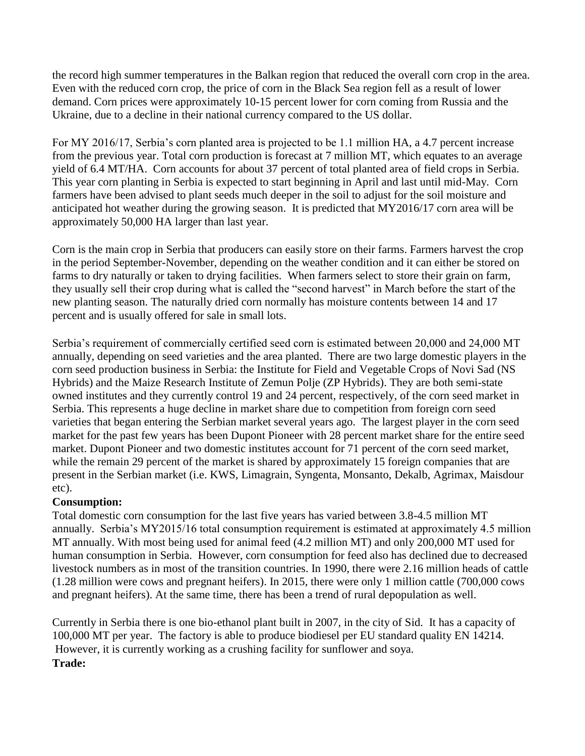the record high summer temperatures in the Balkan region that reduced the overall corn crop in the area. Even with the reduced corn crop, the price of corn in the Black Sea region fell as a result of lower demand. Corn prices were approximately 10-15 percent lower for corn coming from Russia and the Ukraine, due to a decline in their national currency compared to the US dollar.

For MY 2016/17, Serbia's corn planted area is projected to be 1.1 million HA, a 4.7 percent increase from the previous year. Total corn production is forecast at 7 million MT, which equates to an average yield of 6.4 MT/HA. Corn accounts for about 37 percent of total planted area of field crops in Serbia. This year corn planting in Serbia is expected to start beginning in April and last until mid-May. Corn farmers have been advised to plant seeds much deeper in the soil to adjust for the soil moisture and anticipated hot weather during the growing season. It is predicted that MY2016/17 corn area will be approximately 50,000 HA larger than last year.

Corn is the main crop in Serbia that producers can easily store on their farms. Farmers harvest the crop in the period September-November, depending on the weather condition and it can either be stored on farms to dry naturally or taken to drying facilities. When farmers select to store their grain on farm, they usually sell their crop during what is called the "second harvest" in March before the start of the new planting season. The naturally dried corn normally has moisture contents between 14 and 17 percent and is usually offered for sale in small lots.

Serbia's requirement of commercially certified seed corn is estimated between 20,000 and 24,000 MT annually, depending on seed varieties and the area planted. There are two large domestic players in the corn seed production business in Serbia: the Institute for Field and Vegetable Crops of Novi Sad (NS Hybrids) and the Maize Research Institute of Zemun Polje (ZP Hybrids). They are both semi-state owned institutes and they currently control 19 and 24 percent, respectively, of the corn seed market in Serbia. This represents a huge decline in market share due to competition from foreign corn seed varieties that began entering the Serbian market several years ago. The largest player in the corn seed market for the past few years has been Dupont Pioneer with 28 percent market share for the entire seed market. Dupont Pioneer and two domestic institutes account for 71 percent of the corn seed market, while the remain 29 percent of the market is shared by approximately 15 foreign companies that are present in the Serbian market (i.e. KWS, Limagrain, Syngenta, Monsanto, Dekalb, Agrimax, Maisdour etc).

#### **Consumption:**

Total domestic corn consumption for the last five years has varied between 3.8-4.5 million MT annually. Serbia's MY2015/16 total consumption requirement is estimated at approximately 4.5 million MT annually. With most being used for animal feed (4.2 million MT) and only 200,000 MT used for human consumption in Serbia. However, corn consumption for feed also has declined due to decreased livestock numbers as in most of the transition countries. In 1990, there were 2.16 million heads of cattle (1.28 million were cows and pregnant heifers). In 2015, there were only 1 million cattle (700,000 cows and pregnant heifers). At the same time, there has been a trend of rural depopulation as well.

Currently in Serbia there is one bio-ethanol plant built in 2007, in the city of Sid. It has a capacity of 100,000 MT per year. The factory is able to produce biodiesel per EU standard quality EN 14214. However, it is currently working as a crushing facility for sunflower and soya. **Trade:**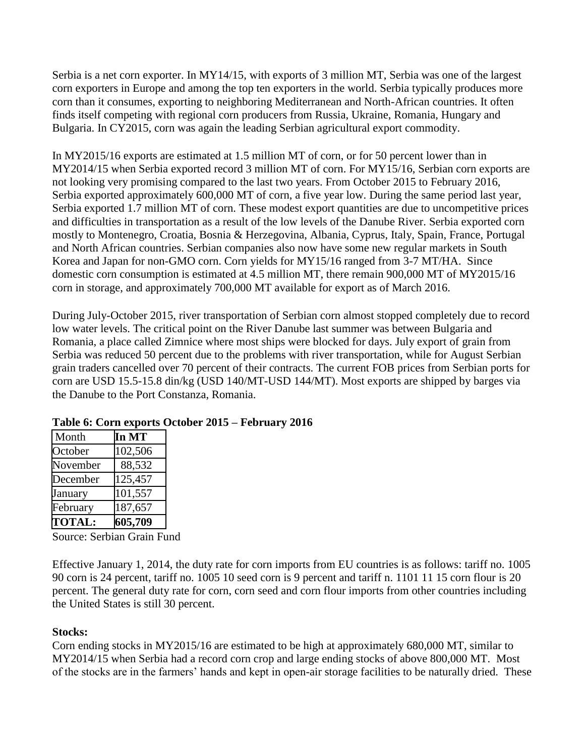Serbia is a net corn exporter. In MY14/15, with exports of 3 million MT, Serbia was one of the largest corn exporters in Europe and among the top ten exporters in the world. Serbia typically produces more corn than it consumes, exporting to neighboring Mediterranean and North-African countries. It often finds itself competing with regional corn producers from Russia, Ukraine, Romania, Hungary and Bulgaria. In CY2015, corn was again the leading Serbian agricultural export commodity.

In MY2015/16 exports are estimated at 1.5 million MT of corn, or for 50 percent lower than in MY2014/15 when Serbia exported record 3 million MT of corn. For MY15/16, Serbian corn exports are not looking very promising compared to the last two years. From October 2015 to February 2016, Serbia exported approximately 600,000 MT of corn, a five year low. During the same period last year, Serbia exported 1.7 million MT of corn. These modest export quantities are due to uncompetitive prices and difficulties in transportation as a result of the low levels of the Danube River. Serbia exported corn mostly to Montenegro, Croatia, Bosnia & Herzegovina, Albania, Cyprus, Italy, Spain, France, Portugal and North African countries. Serbian companies also now have some new regular markets in South Korea and Japan for non-GMO corn. Corn yields for MY15/16 ranged from 3-7 MT/HA. Since domestic corn consumption is estimated at 4.5 million MT, there remain 900,000 MT of MY2015/16 corn in storage, and approximately 700,000 MT available for export as of March 2016.

During July-October 2015, river transportation of Serbian corn almost stopped completely due to record low water levels. The critical point on the River Danube last summer was between Bulgaria and Romania, a place called Zimnice where most ships were blocked for days. July export of grain from Serbia was reduced 50 percent due to the problems with river transportation, while for August Serbian grain traders cancelled over 70 percent of their contracts. The current FOB prices from Serbian ports for corn are USD 15.5-15.8 din/kg (USD 140/MT-USD 144/MT). Most exports are shipped by barges via the Danube to the Port Constanza, Romania.

| Month         | In MT   |
|---------------|---------|
| October       | 102,506 |
| November      | 88,532  |
| December      | 125,457 |
| January       | 101,557 |
| February      | 187,657 |
| <b>TOTAL:</b> | 605,709 |

## **Table 6: Corn exports October 2015 – February 2016**

Source: Serbian Grain Fund

Effective January 1, 2014, the duty rate for corn imports from EU countries is as follows: tariff no. 1005 90 corn is 24 percent, tariff no. 1005 10 seed corn is 9 percent and tariff n. 1101 11 15 corn flour is 20 percent. The general duty rate for corn, corn seed and corn flour imports from other countries including the United States is still 30 percent.

#### **Stocks:**

Corn ending stocks in MY2015/16 are estimated to be high at approximately 680,000 MT, similar to MY2014/15 when Serbia had a record corn crop and large ending stocks of above 800,000 MT. Most of the stocks are in the farmers' hands and kept in open-air storage facilities to be naturally dried. These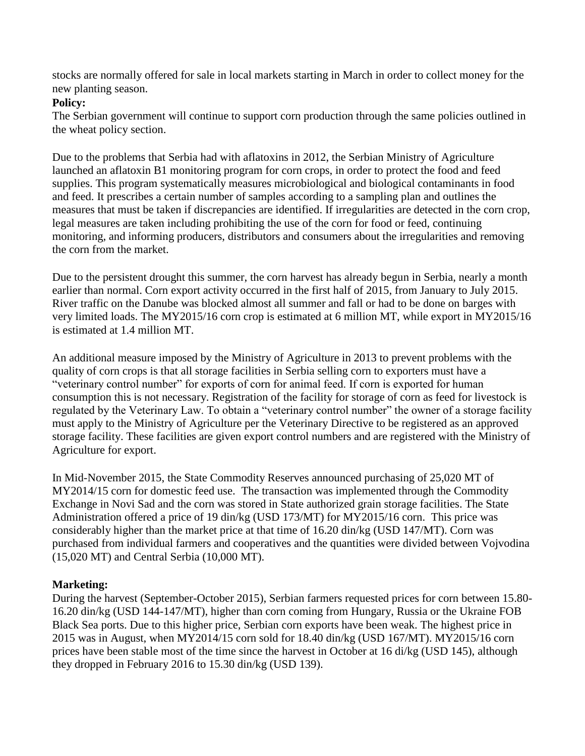stocks are normally offered for sale in local markets starting in March in order to collect money for the new planting season.

#### **Policy:**

The Serbian government will continue to support corn production through the same policies outlined in the wheat policy section.

Due to the problems that Serbia had with aflatoxins in 2012, the Serbian Ministry of Agriculture launched an aflatoxin B1 monitoring program for corn crops, in order to protect the food and feed supplies. This program systematically measures microbiological and biological contaminants in food and feed. It prescribes a certain number of samples according to a sampling plan and outlines the measures that must be taken if discrepancies are identified. If irregularities are detected in the corn crop, legal measures are taken including prohibiting the use of the corn for food or feed, continuing monitoring, and informing producers, distributors and consumers about the irregularities and removing the corn from the market.

Due to the persistent drought this summer, the corn harvest has already begun in Serbia, nearly a month earlier than normal. Corn export activity occurred in the first half of 2015, from January to July 2015. River traffic on the Danube was blocked almost all summer and fall or had to be done on barges with very limited loads. The MY2015/16 corn crop is estimated at 6 million MT, while export in MY2015/16 is estimated at 1.4 million MT.

An additional measure imposed by the Ministry of Agriculture in 2013 to prevent problems with the quality of corn crops is that all storage facilities in Serbia selling corn to exporters must have a "veterinary control number" for exports of corn for animal feed. If corn is exported for human consumption this is not necessary. Registration of the facility for storage of corn as feed for livestock is regulated by the Veterinary Law. To obtain a "veterinary control number" the owner of a storage facility must apply to the Ministry of Agriculture per the Veterinary Directive to be registered as an approved storage facility. These facilities are given export control numbers and are registered with the Ministry of Agriculture for export.

In Mid-November 2015, the State Commodity Reserves announced purchasing of 25,020 MT of MY2014/15 corn for domestic feed use. The transaction was implemented through the Commodity Exchange in Novi Sad and the corn was stored in State authorized grain storage facilities. The State Administration offered a price of 19 din/kg (USD 173/MT) for MY2015/16 corn. This price was considerably higher than the market price at that time of 16.20 din/kg (USD 147/MT). Corn was purchased from individual farmers and cooperatives and the quantities were divided between Vojvodina (15,020 MT) and Central Serbia (10,000 MT).

## **Marketing:**

During the harvest (September-October 2015), Serbian farmers requested prices for corn between 15.80- 16.20 din/kg (USD 144-147/MT), higher than corn coming from Hungary, Russia or the Ukraine FOB Black Sea ports. Due to this higher price, Serbian corn exports have been weak. The highest price in 2015 was in August, when MY2014/15 corn sold for 18.40 din/kg (USD 167/MT). MY2015/16 corn prices have been stable most of the time since the harvest in October at 16 di/kg (USD 145), although they dropped in February 2016 to 15.30 din/kg (USD 139).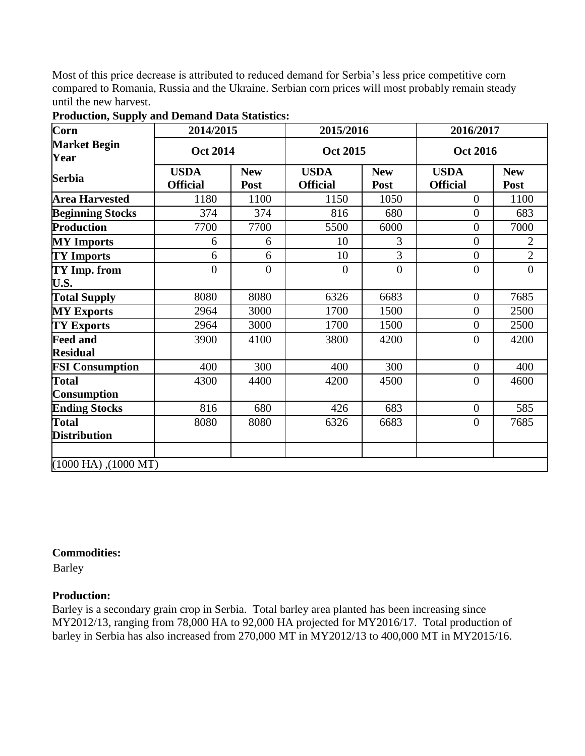Most of this price decrease is attributed to reduced demand for Serbia's less price competitive corn compared to Romania, Russia and the Ukraine. Serbian corn prices will most probably remain steady until the new harvest.

| Corn                                      | 2014/2015                      |                    | 2015/2016                      |                    | 2016/2017                      |                    |
|-------------------------------------------|--------------------------------|--------------------|--------------------------------|--------------------|--------------------------------|--------------------|
| <b>Market Begin</b><br>Year               | <b>Oct 2014</b>                |                    | <b>Oct 2015</b>                |                    | <b>Oct 2016</b>                |                    |
| <b>Serbia</b>                             | <b>USDA</b><br><b>Official</b> | <b>New</b><br>Post | <b>USDA</b><br><b>Official</b> | <b>New</b><br>Post | <b>USDA</b><br><b>Official</b> | <b>New</b><br>Post |
| <b>Area Harvested</b>                     | 1180                           | 1100               | 1150                           | 1050               | $\Omega$                       | 1100               |
| <b>Beginning Stocks</b>                   | 374                            | 374                | 816                            | 680                | $\overline{0}$                 | 683                |
| <b>Production</b>                         | 7700                           | 7700               | 5500                           | 6000               | $\overline{0}$                 | 7000               |
| <b>MY</b> Imports                         | 6                              | 6                  | 10                             | 3                  | $\overline{0}$                 | $\overline{2}$     |
| <b>TY Imports</b>                         | 6                              | 6                  | 10                             | 3                  | $\overline{0}$                 | $\overline{2}$     |
| TY Imp. from<br>U.S.                      | $\overline{0}$                 | $\overline{0}$     | $\theta$                       | $\overline{0}$     | $\overline{0}$                 | $\overline{0}$     |
| <b>Total Supply</b>                       | 8080                           | 8080               | 6326                           | 6683               | $\overline{0}$                 | 7685               |
| <b>MY Exports</b>                         | 2964                           | 3000               | 1700                           | 1500               | $\boldsymbol{0}$               | 2500               |
| <b>TY Exports</b>                         | 2964                           | 3000               | 1700                           | 1500               | $\overline{0}$                 | 2500               |
| <b>Feed and</b><br><b>Residual</b>        | 3900                           | 4100               | 3800                           | 4200               | $\overline{0}$                 | 4200               |
| <b>FSI Consumption</b>                    | 400                            | 300                | 400                            | 300                | $\boldsymbol{0}$               | 400                |
| <b>Total</b><br><b>Consumption</b>        | 4300                           | 4400               | 4200                           | 4500               | $\overline{0}$                 | 4600               |
| <b>Ending Stocks</b>                      | 816                            | 680                | 426                            | 683                | $\overline{0}$                 | 585                |
| <b>Total</b><br><b>Distribution</b>       | 8080                           | 8080               | 6326                           | 6683               | $\overline{0}$                 | 7685               |
| $(1000 \text{ HA})$ , $(1000 \text{ MT})$ |                                |                    |                                |                    |                                |                    |

| <b>Production, Supply and Demand Data Statistics:</b> |  |  |
|-------------------------------------------------------|--|--|
|                                                       |  |  |

## **Commodities:**

Barley

## **Production:**

Barley is a secondary grain crop in Serbia. Total barley area planted has been increasing since MY2012/13, ranging from 78,000 HA to 92,000 HA projected for MY2016/17. Total production of barley in Serbia has also increased from 270,000 MT in MY2012/13 to 400,000 MT in MY2015/16.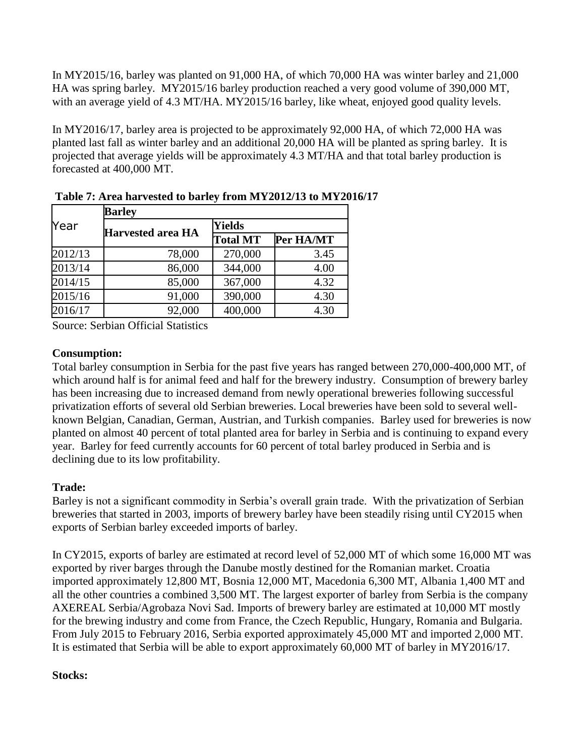In MY2015/16, barley was planted on 91,000 HA, of which 70,000 HA was winter barley and 21,000 HA was spring barley. MY2015/16 barley production reached a very good volume of 390,000 MT, with an average yield of 4.3 MT/HA. MY2015/16 barley, like wheat, enjoyed good quality levels.

In MY2016/17, barley area is projected to be approximately 92,000 HA, of which 72,000 HA was planted last fall as winter barley and an additional 20,000 HA will be planted as spring barley. It is projected that average yields will be approximately 4.3 MT/HA and that total barley production is forecasted at 400,000 MT.

|         | <b>Barley</b>            |                 |           |  |  |  |
|---------|--------------------------|-----------------|-----------|--|--|--|
| Year    | <b>Harvested area HA</b> | <b>Yields</b>   |           |  |  |  |
|         |                          | <b>Total MT</b> | Per HA/MT |  |  |  |
| 2012/13 | 78,000                   | 270,000         | 3.45      |  |  |  |
| 2013/14 | 86,000                   | 344,000         | 4.00      |  |  |  |
| 2014/15 | 85,000                   | 367,000         | 4.32      |  |  |  |
| 2015/16 | 91,000                   | 390,000         | 4.30      |  |  |  |
| 2016/17 | 92,000                   | 400,000         | 4.30      |  |  |  |

**Table 7: Area harvested to barley from MY2012/13 to MY2016/17**

Source: Serbian Official Statistics

## **Consumption:**

Total barley consumption in Serbia for the past five years has ranged between 270,000-400,000 MT, of which around half is for animal feed and half for the brewery industry. Consumption of brewery barley has been increasing due to increased demand from newly operational breweries following successful privatization efforts of several old Serbian breweries. Local breweries have been sold to several wellknown Belgian, Canadian, German, Austrian, and Turkish companies. Barley used for breweries is now planted on almost 40 percent of total planted area for barley in Serbia and is continuing to expand every year. Barley for feed currently accounts for 60 percent of total barley produced in Serbia and is declining due to its low profitability.

## **Trade:**

Barley is not a significant commodity in Serbia's overall grain trade. With the privatization of Serbian breweries that started in 2003, imports of brewery barley have been steadily rising until CY2015 when exports of Serbian barley exceeded imports of barley.

In CY2015, exports of barley are estimated at record level of 52,000 MT of which some 16,000 MT was exported by river barges through the Danube mostly destined for the Romanian market. Croatia imported approximately 12,800 MT, Bosnia 12,000 MT, Macedonia 6,300 MT, Albania 1,400 MT and all the other countries a combined 3,500 MT. The largest exporter of barley from Serbia is the company AXEREAL Serbia/Agrobaza Novi Sad. Imports of brewery barley are estimated at 10,000 MT mostly for the brewing industry and come from France, the Czech Republic, Hungary, Romania and Bulgaria. From July 2015 to February 2016, Serbia exported approximately 45,000 MT and imported 2,000 MT. It is estimated that Serbia will be able to export approximately 60,000 MT of barley in MY2016/17.

## **Stocks:**